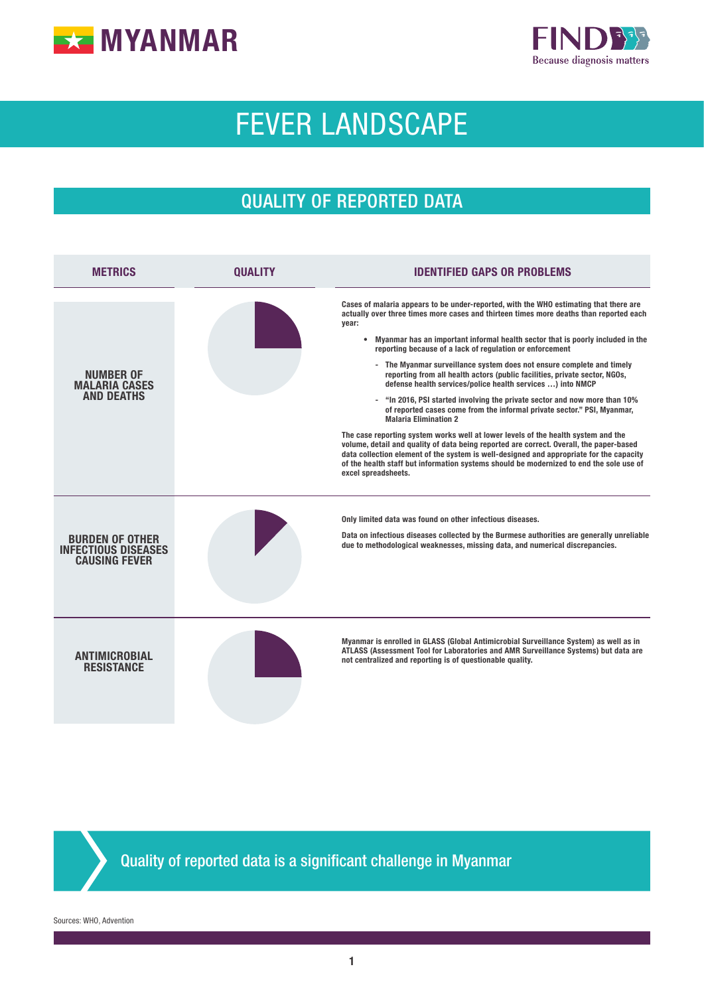



# FEVER LANDSCAPE

# QUALITY OF REPORTED DATA

| <b>METRICS</b>                                                               | <b>OUALITY</b> | <b>IDENTIFIED GAPS OR PROBLEMS</b>                                                                                                                                                                                                                                                                                                                                                                                                                                                                                                                                                                                                                                                                                                                                                                                                                                                                                                                                                                                                                                                                                                                  |  |  |  |
|------------------------------------------------------------------------------|----------------|-----------------------------------------------------------------------------------------------------------------------------------------------------------------------------------------------------------------------------------------------------------------------------------------------------------------------------------------------------------------------------------------------------------------------------------------------------------------------------------------------------------------------------------------------------------------------------------------------------------------------------------------------------------------------------------------------------------------------------------------------------------------------------------------------------------------------------------------------------------------------------------------------------------------------------------------------------------------------------------------------------------------------------------------------------------------------------------------------------------------------------------------------------|--|--|--|
| <b>NUMBER OF</b><br><b>MALARIA CASES</b><br><b>AND DEATHS</b>                |                | Cases of malaria appears to be under-reported, with the WHO estimating that there are<br>actually over three times more cases and thirteen times more deaths than reported each<br>year:<br>• Myanmar has an important informal health sector that is poorly included in the<br>reporting because of a lack of regulation or enforcement<br>- The Myanmar surveillance system does not ensure complete and timely<br>reporting from all health actors (public facilities, private sector, NGOs,<br>defense health services/police health services ) into NMCP<br>- "In 2016, PSI started involving the private sector and now more than 10%<br>of reported cases come from the informal private sector." PSI, Myanmar,<br><b>Malaria Elimination 2</b><br>The case reporting system works well at lower levels of the health system and the<br>volume, detail and quality of data being reported are correct. Overall, the paper-based<br>data collection element of the system is well-designed and appropriate for the capacity<br>of the health staff but information systems should be modernized to end the sole use of<br>excel spreadsheets. |  |  |  |
| <b>BURDEN OF OTHER</b><br><b>INFECTIOUS DISEASES</b><br><b>CAUSING FEVER</b> |                | Only limited data was found on other infectious diseases.<br>Data on infectious diseases collected by the Burmese authorities are generally unreliable<br>due to methodological weaknesses, missing data, and numerical discrepancies.                                                                                                                                                                                                                                                                                                                                                                                                                                                                                                                                                                                                                                                                                                                                                                                                                                                                                                              |  |  |  |
| <b>ANTIMICROBIAL</b><br><b>RESISTANCE</b>                                    |                | Myanmar is enrolled in GLASS (Global Antimicrobial Surveillance System) as well as in<br>ATLASS (Assessment Tool for Laboratories and AMR Surveillance Systems) but data are<br>not centralized and reporting is of questionable quality.                                                                                                                                                                                                                                                                                                                                                                                                                                                                                                                                                                                                                                                                                                                                                                                                                                                                                                           |  |  |  |

Quality of reported data is a significant challenge in Myanmar

Sources: WHO, Advention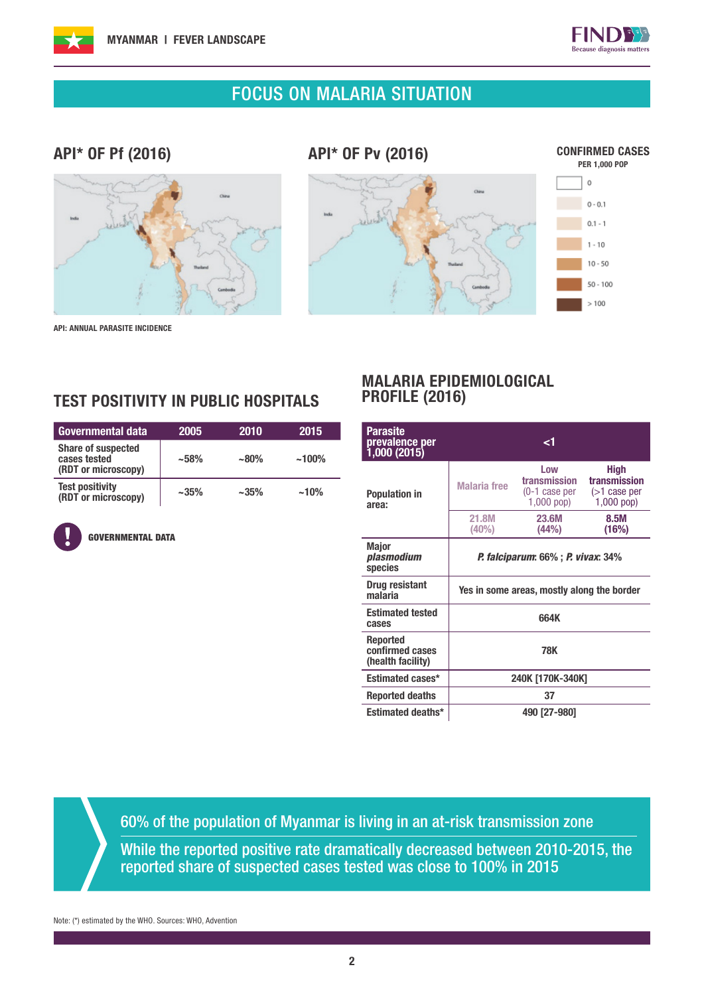



### FOCUS ON MALARIA SITUATION

### API\* OF Pf (2016)

API\* OF Pv (2016)







API: ANNUAL PARASITE INCIDENCE

### TEST POSITIVITY IN PUBLIC HOSPITALS

| Governmental data                                                | 2005      | 2010      | 2015     |
|------------------------------------------------------------------|-----------|-----------|----------|
| <b>Share of suspected</b><br>cases tested<br>(RDT or microscopy) | $~1.58\%$ | $~180\%$  | $~100\%$ |
| <b>Test positivity</b><br>(RDT or microscopy)                    | $~1.35\%$ | $~1.35\%$ | $~10\%$  |

GOVERNMENTAL DATA

#### MALARIA EPIDEMIOLOGICAL PROFILE (2016)

| Parasite<br>prevalence per<br>1,000 (2015)       |                                            | ا>                                                   |                                                                |  |  |
|--------------------------------------------------|--------------------------------------------|------------------------------------------------------|----------------------------------------------------------------|--|--|
| <b>Population in</b><br>area:                    | <b>Malaria</b> free                        | Low<br>transmission<br>(0-1 case per<br>$1,000$ pop) | <b>High</b><br>transmission<br>$($ >1 case per<br>$1,000$ pop) |  |  |
|                                                  | 21.8M<br>(40%)                             | 23.6M<br>(44%)                                       | 8.5M<br>(16%)                                                  |  |  |
| <b>Major</b><br>plasmodium<br>species            | <b>P. falciparum: 66% ; P. vivax: 34%</b>  |                                                      |                                                                |  |  |
| <b>Drug resistant</b><br>malaria                 | Yes in some areas, mostly along the border |                                                      |                                                                |  |  |
| <b>Estimated tested</b><br>cases                 | 664K                                       |                                                      |                                                                |  |  |
| Reported<br>confirmed cases<br>(health facility) | <b>78K</b>                                 |                                                      |                                                                |  |  |
| Estimated cases*                                 | 240K [170K-340K]                           |                                                      |                                                                |  |  |
| <b>Reported deaths</b>                           | 37                                         |                                                      |                                                                |  |  |
| Estimated deaths*                                |                                            | 490 [27-980]                                         |                                                                |  |  |

60% of the population of Myanmar is living in an at-risk transmission zone

While the reported positive rate dramatically decreased between 2010-2015, the reported share of suspected cases tested was close to 100% in 2015

Note: (\*) estimated by the WHO. Sources: WHO, Advention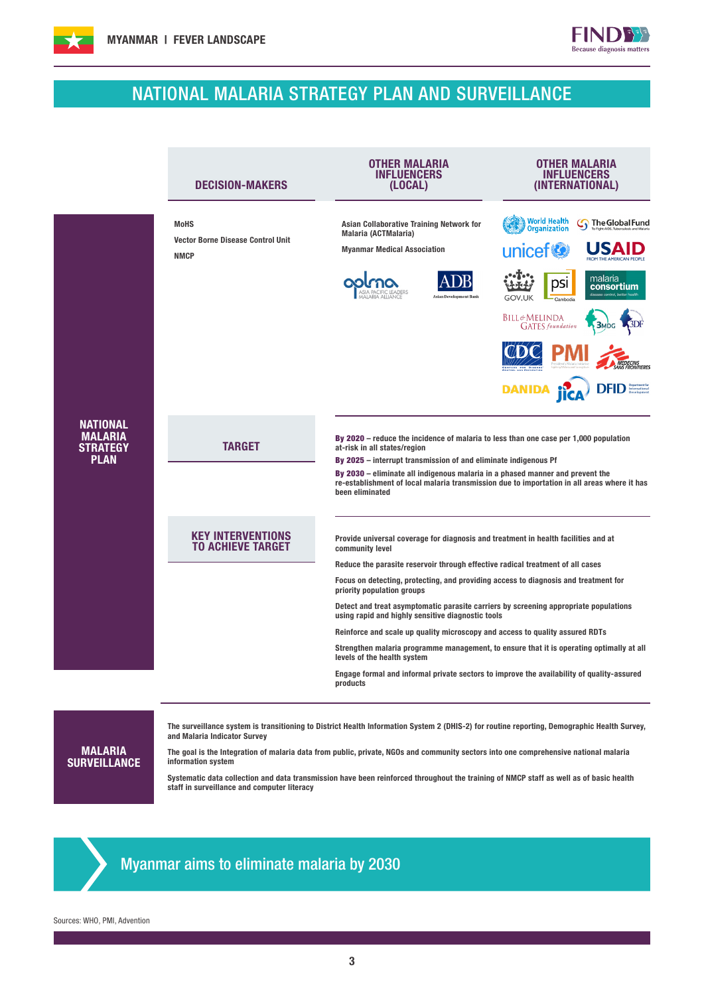

# NATIONAL MALARIA STRATEGY PLAN AND SURVEILLANCE

 $\begin{bmatrix} 1 & 1 \\ 1 & 1 \end{bmatrix}$ ause diagnosis matters

|                                                                     | <b>DECISION-MAKERS</b>                                                 | <b>OTHER MALARIA</b><br>INFLUENCERS<br>(LOCAL)                                                                                                                                                                                                                                                                                                                                                                                                                                                                                                                                                                                                                                                                                                                                | OTHER MALARIA<br>INFLUENCERS<br>(INTERNATIONAL)                                                                                                                                                      |  |  |  |
|---------------------------------------------------------------------|------------------------------------------------------------------------|-------------------------------------------------------------------------------------------------------------------------------------------------------------------------------------------------------------------------------------------------------------------------------------------------------------------------------------------------------------------------------------------------------------------------------------------------------------------------------------------------------------------------------------------------------------------------------------------------------------------------------------------------------------------------------------------------------------------------------------------------------------------------------|------------------------------------------------------------------------------------------------------------------------------------------------------------------------------------------------------|--|--|--|
| <b>NATIONAL</b><br><b>MALARIA</b><br><b>STRATEGY</b><br><b>PLAN</b> | <b>MoHS</b><br><b>Vector Borne Disease Control Unit</b><br><b>NMCP</b> | Asian Collaborative Training Network for<br>Malaria (ACTMalaria)<br><b>Myanmar Medical Association</b><br><b>Asian Development Bank</b>                                                                                                                                                                                                                                                                                                                                                                                                                                                                                                                                                                                                                                       | <b>World Health</b><br><b>G</b> The Global Fund<br><b>Organization</b><br>unicef <sup>®</sup><br>malaria<br>DSI<br>consortium<br><b>GOV.UK</b><br><b>BILL&amp;MELINDA</b><br><b>GATES</b> foundation |  |  |  |
|                                                                     |                                                                        |                                                                                                                                                                                                                                                                                                                                                                                                                                                                                                                                                                                                                                                                                                                                                                               | <b>DEID</b> International                                                                                                                                                                            |  |  |  |
|                                                                     | <b>TARGET</b>                                                          | By 2020 – reduce the incidence of malaria to less than one case per $1,000$ population<br>at-risk in all states/region<br>By 2025 – interrupt transmission of and eliminate indigenous Pf<br>By 2030 – eliminate all indigenous malaria in a phased manner and prevent the<br>re-establishment of local malaria transmission due to importation in all areas where it has<br>been eliminated                                                                                                                                                                                                                                                                                                                                                                                  |                                                                                                                                                                                                      |  |  |  |
|                                                                     | <b>KEY INTERVENTIONS</b><br><b>TO ACHIEVE TARGET</b>                   | Provide universal coverage for diagnosis and treatment in health facilities and at<br>community level<br>Reduce the parasite reservoir through effective radical treatment of all cases<br>Focus on detecting, protecting, and providing access to diagnosis and treatment for<br>priority population groups<br>Detect and treat asymptomatic parasite carriers by screening appropriate populations<br>using rapid and highly sensitive diagnostic tools<br>Reinforce and scale up quality microscopy and access to quality assured RDTs<br>Strengthen malaria programme management, to ensure that it is operating optimally at all<br>levels of the health system<br>Engage formal and informal private sectors to improve the availability of quality-assured<br>products |                                                                                                                                                                                                      |  |  |  |
|                                                                     |                                                                        |                                                                                                                                                                                                                                                                                                                                                                                                                                                                                                                                                                                                                                                                                                                                                                               |                                                                                                                                                                                                      |  |  |  |

MALARIA **SURVEILLANCE**  The surveillance system is transitioning to District Health Information System 2 (DHIS-2) for routine reporting, Demographic Health Survey, and Malaria Indicator Survey

The goal is the Integration of malaria data from public, private, NGOs and community sectors into one comprehensive national malaria information system

Systematic data collection and data transmission have been reinforced throughout the training of NMCP staff as well as of basic health staff in surveillance and computer literacy



Sources: WHO, PMI, Advention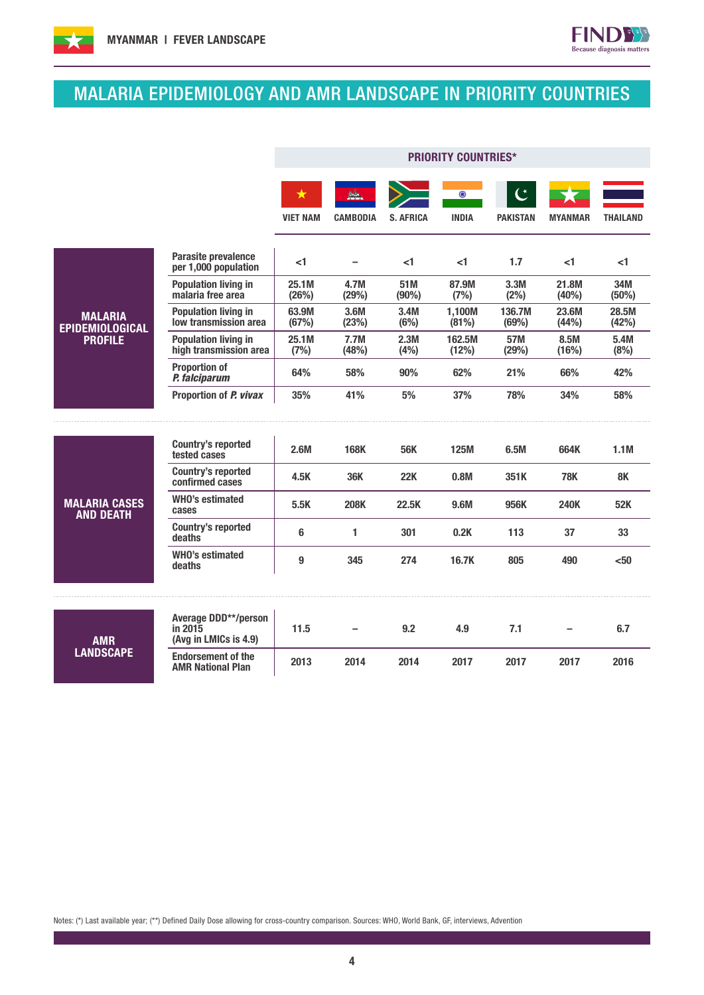



**FIND33** Because diagnosis matters

|                                          |                                                                 | <b>PRIORITY COUNTRIES*</b> |                 |                  |                         |                                   |                |                |
|------------------------------------------|-----------------------------------------------------------------|----------------------------|-----------------|------------------|-------------------------|-----------------------------------|----------------|----------------|
|                                          |                                                                 | ★<br><b>VIET NAM</b>       | <b>CAMBODIA</b> | <b>S. AFRICA</b> | $\odot$<br><b>INDIA</b> | $\mathfrak{C}$<br><b>PAKISTAN</b> | <b>MYANMAR</b> | THAILAND       |
|                                          | Parasite prevalence<br>per 1,000 population                     | <1                         |                 | <1               | <1                      | 1.7                               | $<$ 1          | <1             |
|                                          | <b>Population living in</b><br>malaria free area                | 25.1M<br>(26%)             | 4.7M<br>(29%)   | 51M<br>(90%)     | 87.9M<br>(7%)           | 3.3M<br>(2%)                      | 21.8M<br>(40%) | 34M<br>(50%)   |
| <b>MALARIA</b><br><b>EPIDEMIOLOGICAL</b> | <b>Population living in</b><br>low transmission area            | 63.9M<br>(67%)             | 3.6M<br>(23%)   | 3.4M<br>(6%)     | 1,100M<br>(81%)         | 136.7M<br>(69%)                   | 23.6M<br>(44%) | 28.5M<br>(42%) |
| <b>PROFILE</b>                           | <b>Population living in</b><br>high transmission area           | 25.1M<br>(7%)              | 7.7M<br>(48%)   | 2.3M<br>(4%)     | 162.5M<br>(12%)         | 57M<br>(29%)                      | 8.5M<br>(16%)  | 5.4M<br>(8%)   |
|                                          | <b>Proportion of</b><br>P. falciparum                           | 64%                        | 58%             | 90%              | 62%                     | 21%                               | 66%            | 42%            |
|                                          | Proportion of P. vivax                                          | 35%                        | 41%             | 5%               | 37%                     | 78%                               | 34%            | 58%            |
|                                          |                                                                 |                            |                 |                  |                         |                                   |                |                |
|                                          | <b>Country's reported</b><br>tested cases                       | 2.6M                       | <b>168K</b>     | <b>56K</b>       | <b>125M</b>             | 6.5M                              | 664K           | 1.1M           |
|                                          | <b>Country's reported</b><br>confirmed cases                    | 4.5K                       | <b>36K</b>      | 22K              | 0.8M                    | 351K                              | <b>78K</b>     | 8K             |
| <b>MALARIA CASES</b><br><b>AND DEATH</b> | <b>WHO's estimated</b><br>cases                                 | 5.5K                       | <b>208K</b>     | 22.5K            | 9.6M                    | 956K                              | <b>240K</b>    | 52K            |
|                                          | <b>Country's reported</b><br>deaths                             | 6                          | 1               | 301              | 0.2K                    | 113                               | 37             | 33             |
|                                          | <b>WHO's estimated</b><br>deaths                                | 9                          | 345             | 274              | 16.7K                   | 805                               | 490            | $50$           |
|                                          |                                                                 |                            |                 |                  |                         |                                   |                |                |
| <b>AMR</b><br><b>LANDSCAPE</b>           | <b>Average DDD**/person</b><br>in 2015<br>(Avg in LMICs is 4.9) | 11.5                       |                 | 9.2              | 4.9                     | 7.1                               |                | 6.7            |
|                                          | <b>Endorsement of the</b><br><b>AMR National Plan</b>           | 2013                       | 2014            | 2014             | 2017                    | 2017                              | 2017           | 2016           |

Notes: (\*) Last available year; (\*\*) Defined Daily Dose allowing for cross-country comparison. Sources: WHO, World Bank, GF, interviews, Advention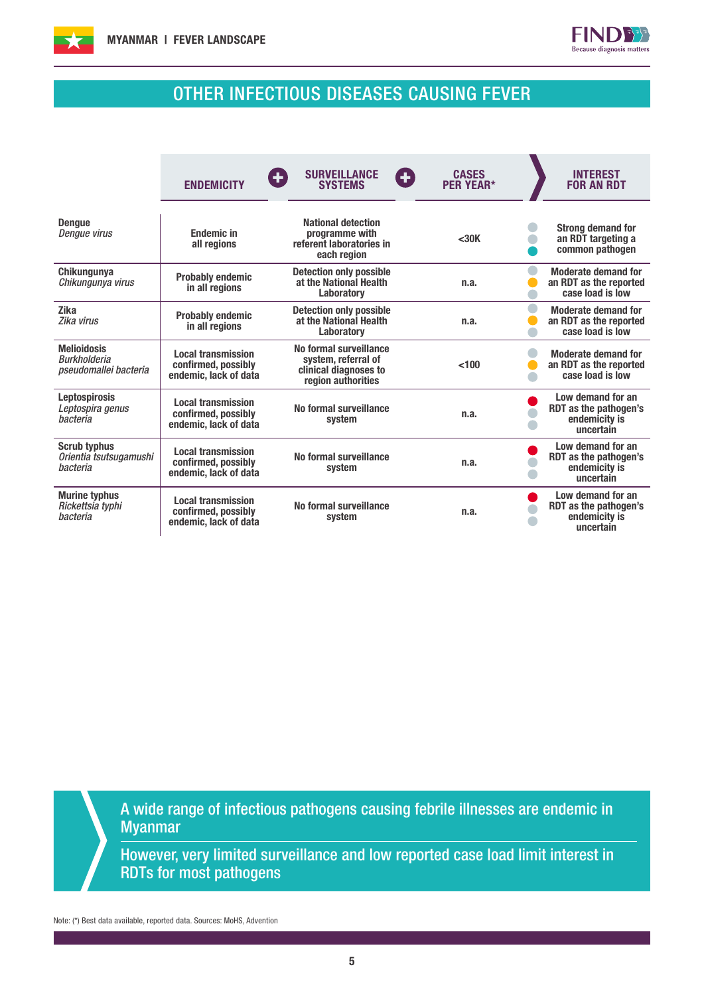



# OTHER INFECTIOUS DISEASES CAUSING FEVER

|                                                                    | <b>ENDEMICITY</b>                                                         | <b>SURVEILLANCE</b><br>Œ<br>Ð<br><b>SYSTEMS</b>                                              | <b>CASES</b><br><b>PER YEAR*</b> | <b>INTEREST</b><br><b>FOR AN RDT</b>                                     |
|--------------------------------------------------------------------|---------------------------------------------------------------------------|----------------------------------------------------------------------------------------------|----------------------------------|--------------------------------------------------------------------------|
| <b>Denaue</b><br>Dengue virus                                      | <b>Fndemic in</b><br>all regions                                          | <b>National detection</b><br>programme with<br>referent laboratories in<br>each region       | <30K                             | <b>Strong demand for</b><br>an RDT targeting a<br>common pathogen        |
| Chikungunya<br>Chikungunya virus                                   | <b>Probably endemic</b><br>in all regions                                 | <b>Detection only possible</b><br>at the National Health<br><b>Laboratory</b>                | n.a.                             | <b>Moderate demand for</b><br>an RDT as the reported<br>case load is low |
| <b>Zika</b><br>Zika virus                                          | <b>Probably endemic</b><br>in all regions                                 | <b>Detection only possible</b><br>at the National Health<br><b>Laboratory</b>                | n.a.                             | <b>Moderate demand for</b><br>an RDT as the reported<br>case load is low |
| <b>Melioidosis</b><br><b>Burkholderia</b><br>pseudomallei bacteria | <b>Local transmission</b><br>confirmed, possibly<br>endemic, lack of data | No formal surveillance<br>system, referral of<br>clinical diagnoses to<br>region authorities | < 100                            | <b>Moderate demand for</b><br>an RDT as the reported<br>case load is low |
| <b>Leptospirosis</b><br>Leptospira genus<br>hacteria               | <b>Local transmission</b><br>confirmed, possibly<br>endemic, lack of data | No formal surveillance<br>system                                                             | n.a.                             | Low demand for an<br>RDT as the pathogen's<br>endemicity is<br>uncertain |
| <b>Scrub typhus</b><br>Orientia tsutsugamushi<br>bacteria          | <b>Local transmission</b><br>confirmed, possibly<br>endemic, lack of data | No formal surveillance<br>system                                                             | n.a.                             | Low demand for an<br>RDT as the pathogen's<br>endemicity is<br>uncertain |
| <b>Murine typhus</b><br>Rickettsia typhi<br>bacteria               | <b>Local transmission</b><br>confirmed, possibly<br>endemic, lack of data | No formal surveillance<br>system                                                             | n.a.                             | Low demand for an<br>RDT as the pathogen's<br>endemicity is<br>uncertain |

A wide range of infectious pathogens causing febrile illnesses are endemic in Myanmar

However, very limited surveillance and low reported case load limit interest in RDTs for most pathogens